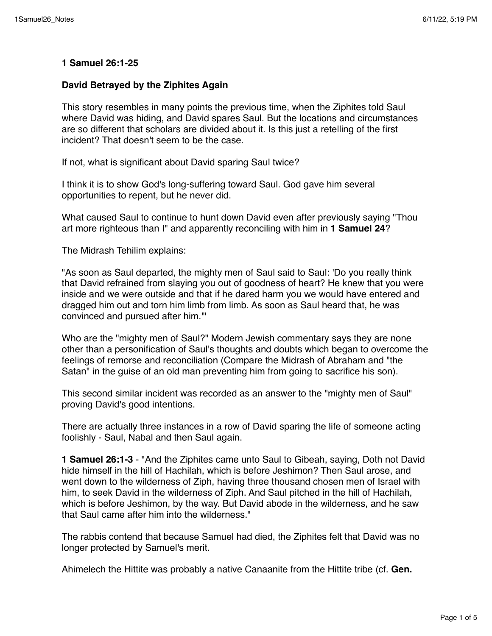## **1 Samuel 26:1-25**

## **David Betrayed by the Ziphites Again**

This story resembles in many points the previous time, when the Ziphites told Saul where David was hiding, and David spares Saul. But the locations and circumstances are so different that scholars are divided about it. Is this just a retelling of the first incident? That doesn't seem to be the case.

If not, what is significant about David sparing Saul twice?

I think it is to show God's long-suffering toward Saul. God gave him several opportunities to repent, but he never did.

What caused Saul to continue to hunt down David even after previously saying "Thou art more righteous than I" and apparently reconciling with him in **1 Samuel 24**?

The Midrash Tehilim explains:

"As soon as Saul departed, the mighty men of Saul said to Saul: 'Do you really think that David refrained from slaying you out of goodness of heart? He knew that you were inside and we were outside and that if he dared harm you we would have entered and dragged him out and torn him limb from limb. As soon as Saul heard that, he was convinced and pursued after him.'"

Who are the "mighty men of Saul?" Modern Jewish commentary says they are none other than a personification of Saul's thoughts and doubts which began to overcome the feelings of remorse and reconciliation (Compare the Midrash of Abraham and "the Satan" in the guise of an old man preventing him from going to sacrifice his son).

This second similar incident was recorded as an answer to the "mighty men of Saul" proving David's good intentions.

There are actually three instances in a row of David sparing the life of someone acting foolishly - Saul, Nabal and then Saul again.

**1 Samuel 26:1-3** - "And the Ziphites came unto Saul to Gibeah, saying, Doth not David hide himself in the hill of Hachilah, which is before Jeshimon? Then Saul arose, and went down to the wilderness of Ziph, having three thousand chosen men of Israel with him, to seek David in the wilderness of Ziph. And Saul pitched in the hill of Hachilah, which is before Jeshimon, by the way. But David abode in the wilderness, and he saw that Saul came after him into the wilderness."

The rabbis contend that because Samuel had died, the Ziphites felt that David was no longer protected by Samuel's merit.

Ahimelech the Hittite was probably a native Canaanite from the Hittite tribe (cf. **Gen.**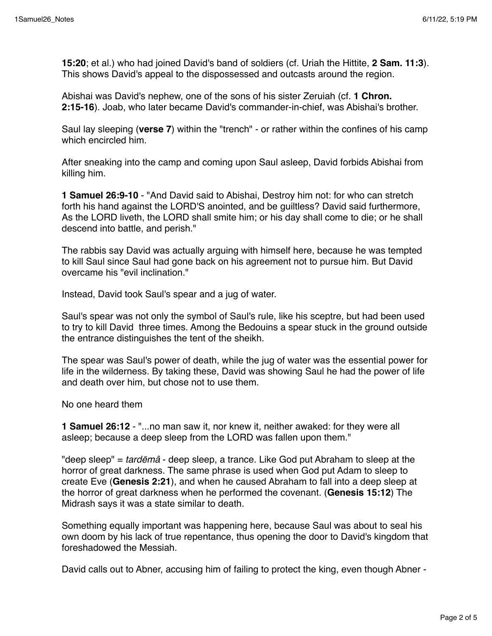**15:20**; et al.) who had joined David's band of soldiers (cf. Uriah the Hittite, **2 Sam. 11:3**). This shows David's appeal to the dispossessed and outcasts around the region.

Abishai was David's nephew, one of the sons of his sister Zeruiah (cf. **1 Chron. 2:15-16**). Joab, who later became David's commander-in-chief, was Abishai's brother.

Saul lay sleeping (**verse 7**) within the "trench" - or rather within the confines of his camp which encircled him.

After sneaking into the camp and coming upon Saul asleep, David forbids Abishai from killing him.

**1 Samuel 26:9-10** - "And David said to Abishai, Destroy him not: for who can stretch forth his hand against the LORD'S anointed, and be guiltless? David said furthermore, As the LORD liveth, the LORD shall smite him; or his day shall come to die; or he shall descend into battle, and perish."

The rabbis say David was actually arguing with himself here, because he was tempted to kill Saul since Saul had gone back on his agreement not to pursue him. But David overcame his "evil inclination."

Instead, David took Saul's spear and a jug of water.

Saul's spear was not only the symbol of Saul's rule, like his sceptre, but had been used to try to kill David three times. Among the Bedouins a spear stuck in the ground outside the entrance distinguishes the tent of the sheikh.

The spear was Saul's power of death, while the jug of water was the essential power for life in the wilderness. By taking these, David was showing Saul he had the power of life and death over him, but chose not to use them.

No one heard them

**1 Samuel 26:12** - "...no man saw it, nor knew it, neither awaked: for they were all asleep; because a deep sleep from the LORD was fallen upon them."

"deep sleep" = *tard*ē*mâ* - deep sleep, a trance. Like God put Abraham to sleep at the horror of great darkness. The same phrase is used when God put Adam to sleep to create Eve (**Genesis 2:21**), and when he caused Abraham to fall into a deep sleep at the horror of great darkness when he performed the covenant. (**Genesis 15:12**) The Midrash says it was a state similar to death.

Something equally important was happening here, because Saul was about to seal his own doom by his lack of true repentance, thus opening the door to David's kingdom that foreshadowed the Messiah.

David calls out to Abner, accusing him of failing to protect the king, even though Abner -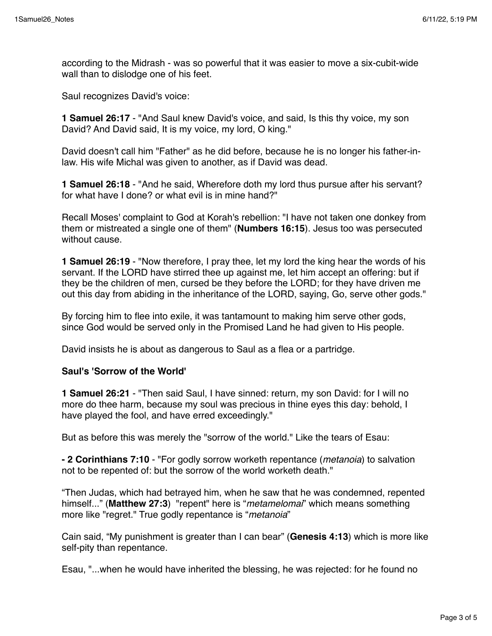according to the Midrash - was so powerful that it was easier to move a six-cubit-wide wall than to dislodge one of his feet.

Saul recognizes David's voice:

**1 Samuel 26:17** - "And Saul knew David's voice, and said, Is this thy voice, my son David? And David said, It is my voice, my lord, O king."

David doesn't call him "Father" as he did before, because he is no longer his father-inlaw. His wife Michal was given to another, as if David was dead.

**1 Samuel 26:18** - "And he said, Wherefore doth my lord thus pursue after his servant? for what have I done? or what evil is in mine hand?"

Recall Moses' complaint to God at Korah's rebellion: "I have not taken one donkey from them or mistreated a single one of them" (**Numbers 16:15**). Jesus too was persecuted without cause.

**1 Samuel 26:19** - "Now therefore, I pray thee, let my lord the king hear the words of his servant. If the LORD have stirred thee up against me, let him accept an offering: but if they be the children of men, cursed be they before the LORD; for they have driven me out this day from abiding in the inheritance of the LORD, saying, Go, serve other gods."

By forcing him to flee into exile, it was tantamount to making him serve other gods, since God would be served only in the Promised Land he had given to His people.

David insists he is about as dangerous to Saul as a flea or a partridge.

## **Saul's 'Sorrow of the World'**

**1 Samuel 26:21** - "Then said Saul, I have sinned: return, my son David: for I will no more do thee harm, because my soul was precious in thine eyes this day: behold, I have played the fool, and have erred exceedingly."

But as before this was merely the "sorrow of the world." Like the tears of Esau:

**- 2 Corinthians 7:10** - "For godly sorrow worketh repentance (*metanoia*) to salvation not to be repented of: but the sorrow of the world worketh death."

"Then Judas, which had betrayed him, when he saw that he was condemned, repented himself..." (**Matthew 27:3**) "repent" here is "*metamelomai*" which means something more like "regret." True godly repentance is "*metanoia*"

Cain said, "My punishment is greater than I can bear" (**Genesis 4:13**) which is more like self-pity than repentance.

Esau, "...when he would have inherited the blessing, he was rejected: for he found no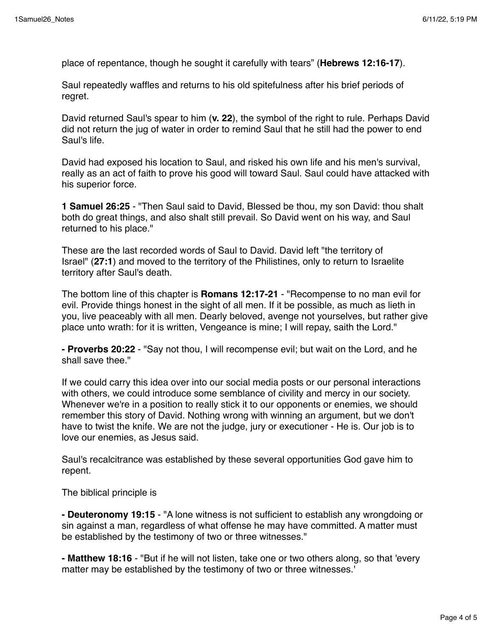place of repentance, though he sought it carefully with tears" (**Hebrews 12:16-17**).

Saul repeatedly waffles and returns to his old spitefulness after his brief periods of regret.

David returned Saul's spear to him (**v. 22**), the symbol of the right to rule. Perhaps David did not return the jug of water in order to remind Saul that he still had the power to end Saul's life.

David had exposed his location to Saul, and risked his own life and his men's survival, really as an act of faith to prove his good will toward Saul. Saul could have attacked with his superior force.

**1 Samuel 26:25** - "Then Saul said to David, Blessed be thou, my son David: thou shalt both do great things, and also shalt still prevail. So David went on his way, and Saul returned to his place."

These are the last recorded words of Saul to David. David left "the territory of Israel" (**27:1**) and moved to the territory of the Philistines, only to return to Israelite territory after Saul's death.

The bottom line of this chapter is **Romans 12:17-21** - "Recompense to no man evil for evil. Provide things honest in the sight of all men. If it be possible, as much as lieth in you, live peaceably with all men. Dearly beloved, avenge not yourselves, but rather give place unto wrath: for it is written, Vengeance is mine; I will repay, saith the Lord."

**- Proverbs 20:22** - "Say not thou, I will recompense evil; but wait on the Lord, and he shall save thee."

If we could carry this idea over into our social media posts or our personal interactions with others, we could introduce some semblance of civility and mercy in our society. Whenever we're in a position to really stick it to our opponents or enemies, we should remember this story of David. Nothing wrong with winning an argument, but we don't have to twist the knife. We are not the judge, jury or executioner - He is. Our job is to love our enemies, as Jesus said.

Saul's recalcitrance was established by these several opportunities God gave him to repent.

The biblical principle is

**- Deuteronomy 19:15** - "A lone witness is not sufficient to establish any wrongdoing or sin against a man, regardless of what offense he may have committed. A matter must be established by the testimony of two or three witnesses."

**- Matthew 18:16** - "But if he will not listen, take one or two others along, so that 'every matter may be established by the testimony of two or three witnesses.'